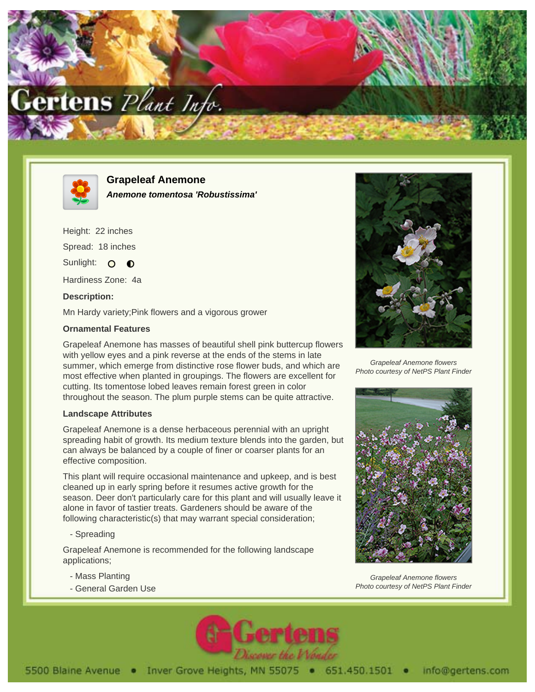



**Grapeleaf Anemone Anemone tomentosa 'Robustissima'**

Height: 22 inches Spread: 18 inches Sunlight: O O

Hardiness Zone: 4a

## **Description:**

Mn Hardy variety;Pink flowers and a vigorous grower

## **Ornamental Features**

Grapeleaf Anemone has masses of beautiful shell pink buttercup flowers with yellow eyes and a pink reverse at the ends of the stems in late summer, which emerge from distinctive rose flower buds, and which are most effective when planted in groupings. The flowers are excellent for cutting. Its tomentose lobed leaves remain forest green in color throughout the season. The plum purple stems can be quite attractive.

## **Landscape Attributes**

Grapeleaf Anemone is a dense herbaceous perennial with an upright spreading habit of growth. Its medium texture blends into the garden, but can always be balanced by a couple of finer or coarser plants for an effective composition.

This plant will require occasional maintenance and upkeep, and is best cleaned up in early spring before it resumes active growth for the season. Deer don't particularly care for this plant and will usually leave it alone in favor of tastier treats. Gardeners should be aware of the following characteristic(s) that may warrant special consideration;

- Spreading

Grapeleaf Anemone is recommended for the following landscape applications;

- Mass Planting
- General Garden Use



Grapeleaf Anemone flowers Photo courtesy of NetPS Plant Finder



Grapeleaf Anemone flowers Photo courtesy of NetPS Plant Finder